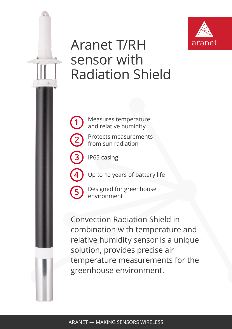

## Aranet T/RH sensor with Radiation Shield

Measures temperature and relative humidity

Protects measurements from sun radiation

IP65 casing

**1**

**2**

**3**

**4**

**5**

Up to 10 years of battery life

Designed for greenhouse environment

Convection Radiation Shield in combination with temperature and relative humidity sensor is a unique solution, provides precise air temperature measurements for the greenhouse environment.